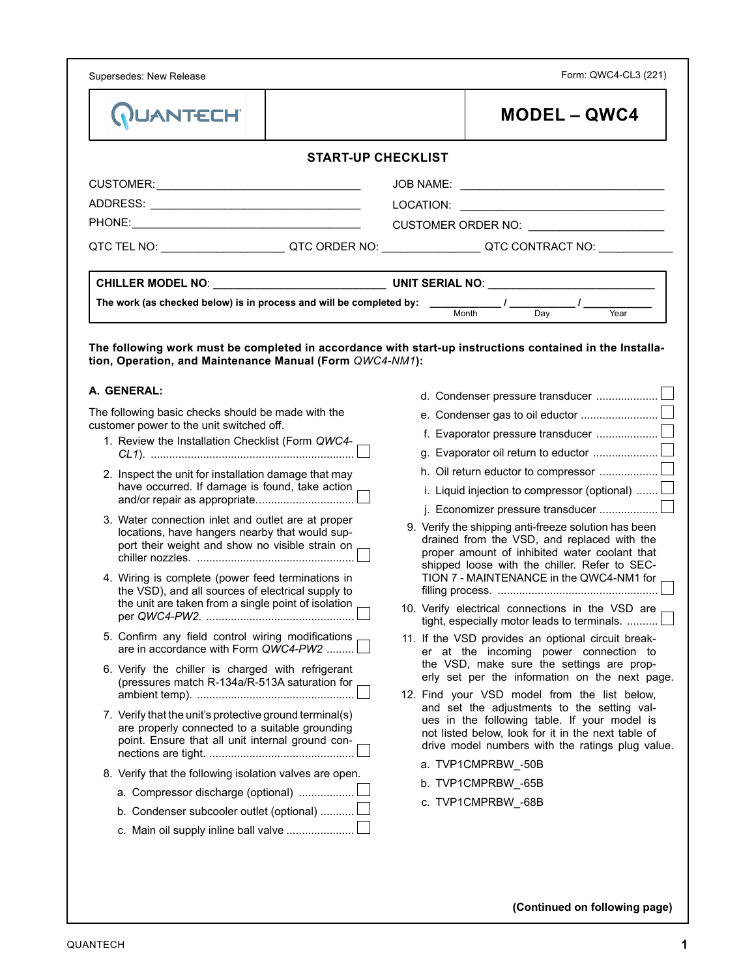Supersedes: New Release

Form: QWC4-CL3 (221)

| <b>QUANTECH</b>                                                                                                                                               |  |  | <b>MODEL – QWC4</b>                                                                                                                                                                                   |  |  |  |
|---------------------------------------------------------------------------------------------------------------------------------------------------------------|--|--|-------------------------------------------------------------------------------------------------------------------------------------------------------------------------------------------------------|--|--|--|
| <b>START-UP CHECKLIST</b>                                                                                                                                     |  |  |                                                                                                                                                                                                       |  |  |  |
|                                                                                                                                                               |  |  |                                                                                                                                                                                                       |  |  |  |
|                                                                                                                                                               |  |  |                                                                                                                                                                                                       |  |  |  |
|                                                                                                                                                               |  |  | CUSTOMER ORDER NO:                                                                                                                                                                                    |  |  |  |
|                                                                                                                                                               |  |  | QTC TEL NO: ___________________________QTC ORDER NO: ____________________QTC CONTRACT NO: __________                                                                                                  |  |  |  |
|                                                                                                                                                               |  |  |                                                                                                                                                                                                       |  |  |  |
|                                                                                                                                                               |  |  |                                                                                                                                                                                                       |  |  |  |
|                                                                                                                                                               |  |  | The work (as checked below) is in process and will be completed by: $\frac{1}{\text{Month}}$ / $\frac{1}{\text{Day}}$ / $\frac{1}{\text{Year}}$                                                       |  |  |  |
| tion, Operation, and Maintenance Manual (Form QWC4-NM1):                                                                                                      |  |  | The following work must be completed in accordance with start-up instructions contained in the Installa-                                                                                              |  |  |  |
| A. GENERAL:                                                                                                                                                   |  |  | d. Condenser pressure transducer                                                                                                                                                                      |  |  |  |
| The following basic checks should be made with the                                                                                                            |  |  |                                                                                                                                                                                                       |  |  |  |
| customer power to the unit switched off.                                                                                                                      |  |  |                                                                                                                                                                                                       |  |  |  |
| 1. Review the Installation Checklist (Form QWC4-                                                                                                              |  |  |                                                                                                                                                                                                       |  |  |  |
| 2. Inspect the unit for installation damage that may<br>have occurred. If damage is found, take action<br>and/or repair as appropriate                        |  |  | i. Liquid injection to compressor (optional) $\ldots \ldots \Box$<br>j. Economizer pressure transducer                                                                                                |  |  |  |
| 3. Water connection inlet and outlet are at proper<br>locations, have hangers nearby that would sup-<br>port their weight and show no visible strain on       |  |  | 9. Verify the shipping anti-freeze solution has been<br>drained from the VSD, and replaced with the<br>proper amount of inhibited water coolant that<br>shipped loose with the chiller. Refer to SEC- |  |  |  |
| 4. Wiring is complete (power feed terminations in<br>the VSD), and all sources of electrical supply to<br>the unit are taken from a single point of isolation |  |  | TION 7 - MAINTENANCE in the QWC4-NM1 for<br>10. Verify electrical connections in the VSD are                                                                                                          |  |  |  |
|                                                                                                                                                               |  |  | tight, especially motor leads to terminals.                                                                                                                                                           |  |  |  |
| 5. Confirm any field control wiring modifications<br>are in accordance with Form QWC4-PW2                                                                     |  |  | 11. If the VSD provides an optional circuit break-<br>er at the incoming power connection to<br>the VSD, make sure the settings are prop-                                                             |  |  |  |
| 6. Verify the chiller is charged with refrigerant<br>(pressures match R-134a/R-513A saturation for                                                            |  |  | erly set per the information on the next page.<br>12. Find your VSD model from the list below,                                                                                                        |  |  |  |
| 7. Verify that the unit's protective ground terminal(s)<br>are properly connected to a suitable grounding<br>point. Ensure that all unit internal ground con- |  |  | and set the adjustments to the setting val-<br>ues in the following table. If your model is<br>not listed below, look for it in the next table of<br>drive model numbers with the ratings plug value. |  |  |  |
| 8. Verify that the following isolation valves are open.                                                                                                       |  |  | a. TVP1CMPRBW -50B                                                                                                                                                                                    |  |  |  |
|                                                                                                                                                               |  |  | b. TVP1CMPRBW_-65B                                                                                                                                                                                    |  |  |  |
|                                                                                                                                                               |  |  |                                                                                                                                                                                                       |  |  |  |
| a. Compressor discharge (optional)<br>b. Condenser subcooler outlet (optional)                                                                                |  |  | c. TVP1CMPRBW -68B                                                                                                                                                                                    |  |  |  |

**(Continued on following page)**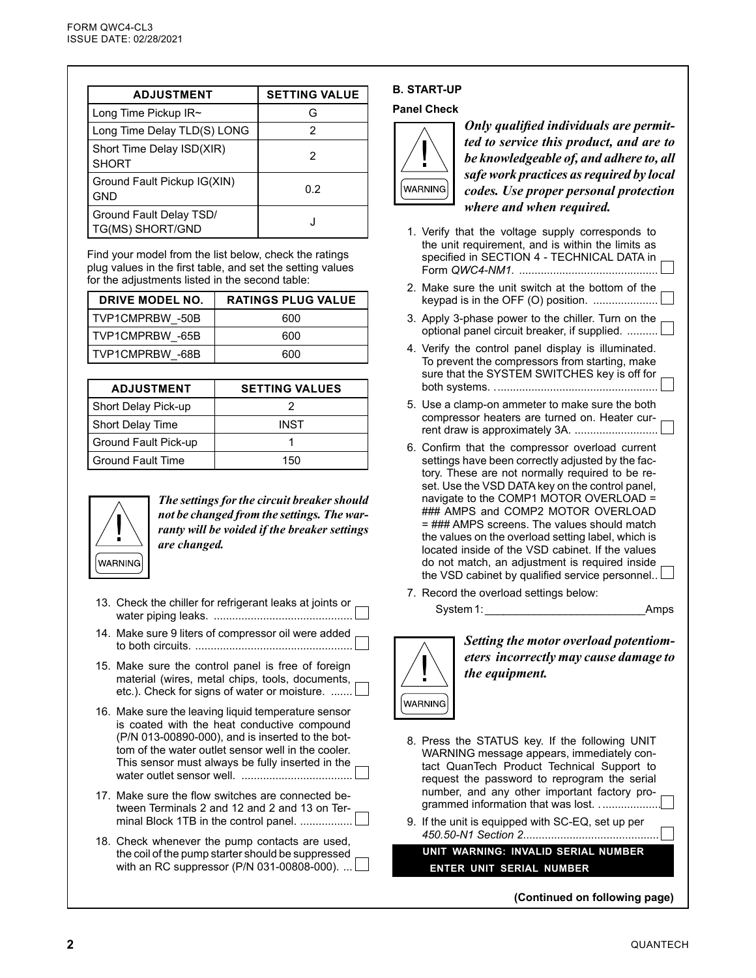| <b>ADJUSTMENT</b>                           | <b>SETTING VALUE</b> |
|---------------------------------------------|----------------------|
| Long Time Pickup $IR\sim$                   | G                    |
| Long Time Delay TLD(S) LONG                 | 2                    |
| Short Time Delay ISD(XIR)<br><b>SHORT</b>   | 2                    |
| Ground Fault Pickup IG(XIN)<br><b>GND</b>   | 0.2                  |
| Ground Fault Delay TSD/<br>TG(MS) SHORT/GND |                      |

Find your model from the list below, check the ratings plug values in the first table, and set the setting values for the adjustments listed in the second table:

| <b>DRIVE MODEL NO.</b> | <b>RATINGS PLUG VALUE</b> |
|------------------------|---------------------------|
| TVP1CMPRBW -50B        | 600                       |
| I TVP1CMPRBW -65B      | 600                       |
| I TVP1CMPRBW -68B      | 600                       |

| <b>ADJUSTMENT</b>        | <b>SETTING VALUES</b> |
|--------------------------|-----------------------|
| Short Delay Pick-up      |                       |
| Short Delay Time         | <b>INST</b>           |
| Ground Fault Pick-up     |                       |
| <b>Ground Fault Time</b> | 150                   |



*The settings for the circuit breaker should not be changed from the settings. The warranty will be voided if the breaker settings are changed.*

- 13. Check the chiller for refrigerant leaks at joints or water piping leaks. .............................................
- 14. Make sure 9 liters of compressor oil were added to both circuits. ...................................................
- 15. Make sure the control panel is free of foreign material (wires, metal chips, tools, documents, etc.). Check for signs of water or moisture. .......
- 16. Make sure the leaving liquid temperature sensor is coated with the heat conductive compound (P/N 013-00890-000), and is inserted to the bottom of the water outlet sensor well in the cooler. This sensor must always be fully inserted in the water outlet sensor well. ....................................
- 17. Make sure the flow switches are connected between Terminals 2 and 12 and 2 and 13 on Terminal Block 1TB in the control panel. .................
- 18. Check whenever the pump contacts are used, the coil of the pump starter should be suppressed with an RC suppressor (P/N 031-00808-000).  $\dots$

## **B. START-UP**

## **Panel Check**



*Only qualified individuals are permitted to service this product, and are to be knowledgeable of, and adhere to, all safe work practices as required by local codes. Use proper personal protection where and when required.*

| 1. Verify that the voltage supply corresponds to<br>the unit requirement, and is within the limits as<br>specified in SECTION 4 - TECHNICAL DATA in                                                                                                                                                                                                                                                                                                                                                                                                    |
|--------------------------------------------------------------------------------------------------------------------------------------------------------------------------------------------------------------------------------------------------------------------------------------------------------------------------------------------------------------------------------------------------------------------------------------------------------------------------------------------------------------------------------------------------------|
| 2. Make sure the unit switch at the bottom of the<br>keypad is in the OFF (O) position.                                                                                                                                                                                                                                                                                                                                                                                                                                                                |
| 3. Apply 3-phase power to the chiller. Turn on the<br>optional panel circuit breaker, if supplied.                                                                                                                                                                                                                                                                                                                                                                                                                                                     |
| 4. Verify the control panel display is illuminated.<br>To prevent the compressors from starting, make<br>sure that the SYSTEM SWITCHES key is off for                                                                                                                                                                                                                                                                                                                                                                                                  |
| 5. Use a clamp-on ammeter to make sure the both<br>compressor heaters are turned on. Heater cur-<br>rent draw is approximately 3A.                                                                                                                                                                                                                                                                                                                                                                                                                     |
| 6. Confirm that the compressor overload current<br>settings have been correctly adjusted by the fac-<br>tory. These are not normally required to be re-<br>set. Use the VSD DATA key on the control panel,<br>navigate to the COMP1 MOTOR OVERLOAD =<br>### AMPS and COMP2 MOTOR OVERLOAD<br>= ### AMPS screens. The values should match<br>the values on the overload setting label, which is<br>located inside of the VSD cabinet. If the values<br>do not match, an adjustment is required inside<br>the VSD cabinet by qualified service personnel |

7. Record the overload settings below: System 1: **Amps** 



*Setting the motor overload potentiometers incorrectly may cause damage to the equipment.*

- 8. Press the STATUS key. If the following UNIT WARNING message appears, immediately contact QuanTech Product Technical Support to request the password to reprogram the serial number, and any other important factory programmed information that was lost. ........................
- 9. If the unit is equipped with SC-EQ, set up per *450.50-N1 Section 2*............................................

**UNIT WARNING: INVALID SERIAL NUMBER ENTER UNIT SERIAL NUMBER**

**(Continued on following page)**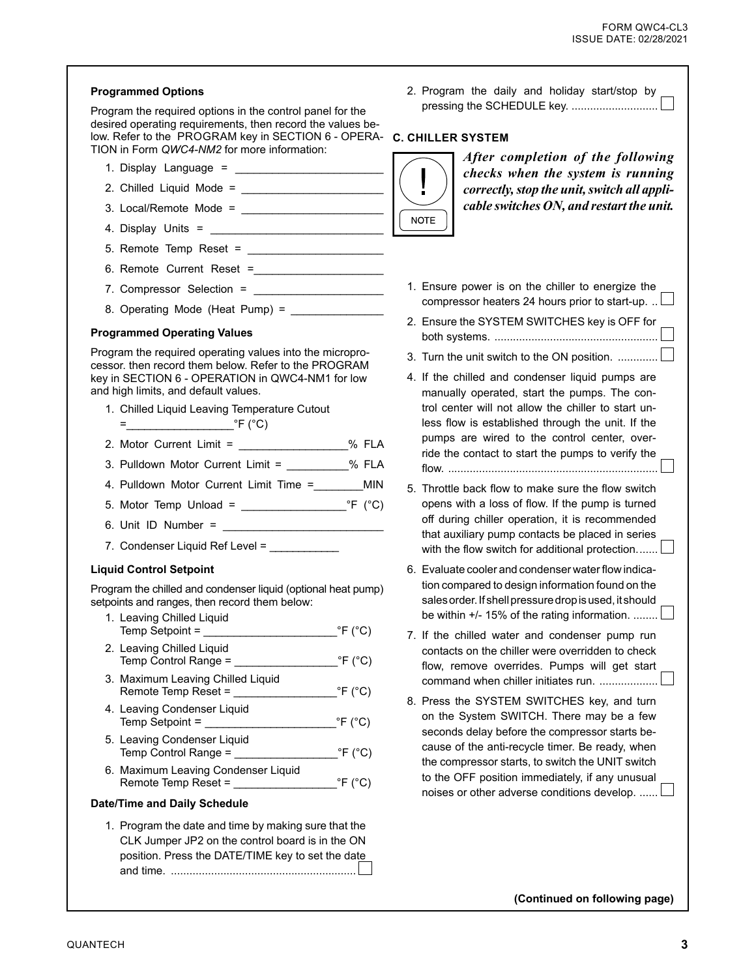| <b>Programmed Options</b>                                                                                                                                                                  | 2. Program the daily and holiday start/stop by                                                                                                             |
|--------------------------------------------------------------------------------------------------------------------------------------------------------------------------------------------|------------------------------------------------------------------------------------------------------------------------------------------------------------|
| Program the required options in the control panel for the<br>desired operating requirements, then record the values be-                                                                    | pressing the SCHEDULE key.                                                                                                                                 |
| low. Refer to the PROGRAM key in SECTION 6 - OPERA-<br>TION in Form QWC4-NM2 for more information:                                                                                         | <b>C. CHILLER SYSTEM</b>                                                                                                                                   |
|                                                                                                                                                                                            | After completion of the following<br>checks when the system is running                                                                                     |
|                                                                                                                                                                                            | Ţ<br>correctly, stop the unit, switch all appli-                                                                                                           |
|                                                                                                                                                                                            | cable switches ON, and restart the unit.                                                                                                                   |
|                                                                                                                                                                                            | <b>NOTE</b>                                                                                                                                                |
|                                                                                                                                                                                            |                                                                                                                                                            |
|                                                                                                                                                                                            |                                                                                                                                                            |
|                                                                                                                                                                                            | 1. Ensure power is on the chiller to energize the                                                                                                          |
| 8. Operating Mode (Heat Pump) = _______________                                                                                                                                            | compressor heaters 24 hours prior to start-up.                                                                                                             |
| <b>Programmed Operating Values</b>                                                                                                                                                         | 2. Ensure the SYSTEM SWITCHES key is OFF for                                                                                                               |
| Program the required operating values into the micropro-<br>cessor. then record them below. Refer to the PROGRAM                                                                           | 3. Turn the unit switch to the ON position.                                                                                                                |
| key in SECTION 6 - OPERATION in QWC4-NM1 for low<br>and high limits, and default values.                                                                                                   | 4. If the chilled and condenser liquid pumps are<br>manually operated, start the pumps. The con-                                                           |
| 1. Chilled Liquid Leaving Temperature Cutout                                                                                                                                               | trol center will not allow the chiller to start un-                                                                                                        |
| $=$ $\begin{bmatrix} \cdot & \cdot & \cdot \\ \cdot & \cdot & \cdot \\ \cdot & \cdot & \cdot \end{bmatrix}$ $\begin{bmatrix} \cdot & \cdot & \cdot \\ \cdot & \cdot & \cdot \end{bmatrix}$ | less flow is established through the unit. If the<br>pumps are wired to the control center, over-                                                          |
| 2. Motor Current Limit = ___________________ % FLA                                                                                                                                         | ride the contact to start the pumps to verify the                                                                                                          |
| 3. Pulldown Motor Current Limit = __________% FLA                                                                                                                                          |                                                                                                                                                            |
| 4. Pulldown Motor Current Limit Time =<br><b>MIN</b>                                                                                                                                       | 5. Throttle back flow to make sure the flow switch                                                                                                         |
| 5. Motor Temp Unload = $\frac{C}{C}$                                                                                                                                                       | opens with a loss of flow. If the pump is turned<br>off during chiller operation, it is recommended                                                        |
|                                                                                                                                                                                            | that auxiliary pump contacts be placed in series                                                                                                           |
| 7. Condenser Liquid Ref Level = ____________                                                                                                                                               | with the flow switch for additional protection                                                                                                             |
| <b>Liquid Control Setpoint</b>                                                                                                                                                             | 6. Evaluate cooler and condenser water flow indica-                                                                                                        |
| Program the chilled and condenser liquid (optional heat pump)<br>setpoints and ranges, then record them below:                                                                             | tion compared to design information found on the<br>sales order. If shell pressure drop is used, it should<br>be within +/- 15% of the rating information. |
| 1. Leaving Chilled Liquid<br>$\degree$ F ( $\degree$ C)<br>Temp Setpoint $=$                                                                                                               | 7. If the chilled water and condenser pump run                                                                                                             |
| 2. Leaving Chilled Liquid<br>Temp Control Range = $\frac{\text{C}}{\text{C}}$                                                                                                              | contacts on the chiller were overridden to check<br>flow, remove overrides. Pumps will get start                                                           |
| 3. Maximum Leaving Chilled Liquid                                                                                                                                                          | command when chiller initiates run.<br>8. Press the SYSTEM SWITCHES key, and turn                                                                          |
| 4. Leaving Condenser Liquid<br>$\degree$ F ( $\degree$ C)<br>Temp Setpoint =                                                                                                               | on the System SWITCH. There may be a few<br>seconds delay before the compressor starts be-                                                                 |
| 5. Leaving Condenser Liquid<br>$\degree$ F ( $\degree$ C)<br>Temp Control Range = __________________                                                                                       | cause of the anti-recycle timer. Be ready, when<br>the compressor starts, to switch the UNIT switch                                                        |
| 6. Maximum Leaving Condenser Liquid<br>$\degree$ F ( $\degree$ C)                                                                                                                          | to the OFF position immediately, if any unusual<br>noises or other adverse conditions develop.                                                             |
| <b>Date/Time and Daily Schedule</b>                                                                                                                                                        |                                                                                                                                                            |
| 1. Program the date and time by making sure that the<br>CLK Jumper JP2 on the control board is in the ON<br>position. Press the DATE/TIME key to set the date                              |                                                                                                                                                            |

**(Continued on following page)**